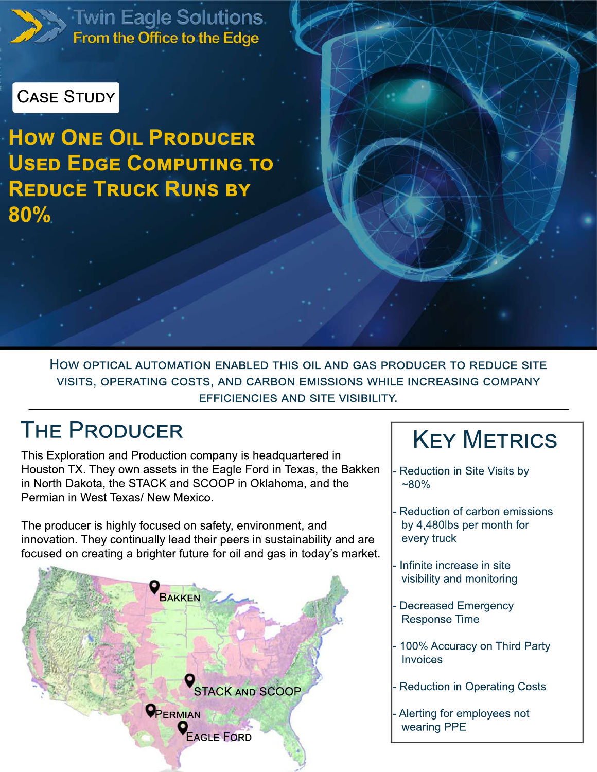

Twin Eagle Solutions.<br>From the Office to the Edge

### **CASE STUDY**

**HOW ONE OIL PRODUCER** USED EDGE COMPUTING TO **REDUCE TRUCK RUNS BY** 80%

> HOW OPTICAL AUTOMATION ENABLED THIS OIL AND GAS PRODUCER TO REDUCE SITE VISITS, OPERATING COSTS, AND CARBON EMISSIONS WHILE INCREASING COMPANY **EFFICIENCIES AND SITE VISIBILITY.**

### **THE PRODUCER**

This Exploration and Production company is headquartered in Houston TX. They own assets in the Eagle Ford in Texas, the Bakken in North Dakota, the STACK and SCOOP in Oklahoma, and the Permian in West Texas/ New Mexico.

The producer is highly focused on safety, environment, and innovation. They continually lead their peers in sustainability and are focused on creating a brighter future for oil and gas in today's market.



# **KEY METRICS**

- Reduction in Site Visits by  $~80\%$
- Reduction of carbon emissions by 4,480lbs per month for every truck
- Infinite increase in site visibility and monitoring
- **Decreased Emergency Response Time**
- 100% Accuracy on Third Party Invoices
- **Reduction in Operating Costs**
- Alerting for employees not wearing PPE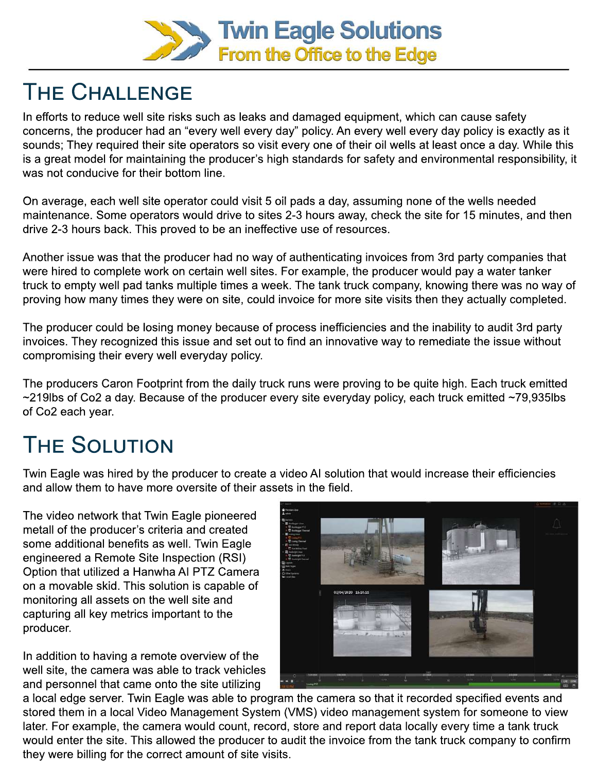

### THE CHALLENGE

In efforts to reduce well site risks such as leaks and damaged equipment, which can cause safety concerns, the producer had an "every well every day" policy. An every well every day policy is exactly as it sounds; They required their site operators so visit every one of their oil wells at least once a day. While this is a great model for maintaining the producer's high standards for safety and environmental responsibility, it was not conducive for their bottom line.

On average, each well site operator could visit 5 oil pads a day, assuming none of the wells needed maintenance. Some operators would drive to sites 2-3 hours away, check the site for 15 minutes, and then drive 2-3 hours back. This proved to be an ineffective use of resources.

Another issue was that the producer had no way of authenticating invoices from 3rd party companies that were hired to complete work on certain well sites. For example, the producer would pay a water tanker truck to empty well pad tanks multiple times a week. The tank truck company, knowing there was no way of proving how many times they were on site, could invoice for more site visits then they actually completed.

The producer could be losing money because of process inefficiencies and the inability to audit 3rd party invoices. They recognized this issue and set out to find an innovative way to remediate the issue without compromising their every well everyday policy.

The producers Caron Footprint from the daily truck runs were proving to be quite high. Each truck emitted  $\sim$ 219lbs of Co2 a day. Because of the producer every site everyday policy, each truck emitted  $\sim$ 79,935lbs of Co2 each year.

# **THE SOLUTION**

Twin Eagle was hired by the producer to create a video AI solution that would increase their efficiencies and allow them to have more oversite of their assets in the field.

The video network that Twin Eagle pioneered metall of the producer's criteria and created some additional benefits as well. Twin Eagle engineered a Remote Site Inspection (RSI) Option that utilized a Hanwha AI PTZ Camera on a movable skid. This solution is capable of monitoring all assets on the well site and capturing all key metrics important to the producer.

In addition to having a remote overview of the well site, the camera was able to track vehicles and personnel that came onto the site utilizing



a local edge server. Twin Eagle was able to program the camera so that it recorded specified events and stored them in a local Video Management System (VMS) video management system for someone to view later. For example, the camera would count, record, store and report data locally every time a tank truck would enter the site. This allowed the producer to audit the invoice from the tank truck company to confirm they were billing for the correct amount of site visits.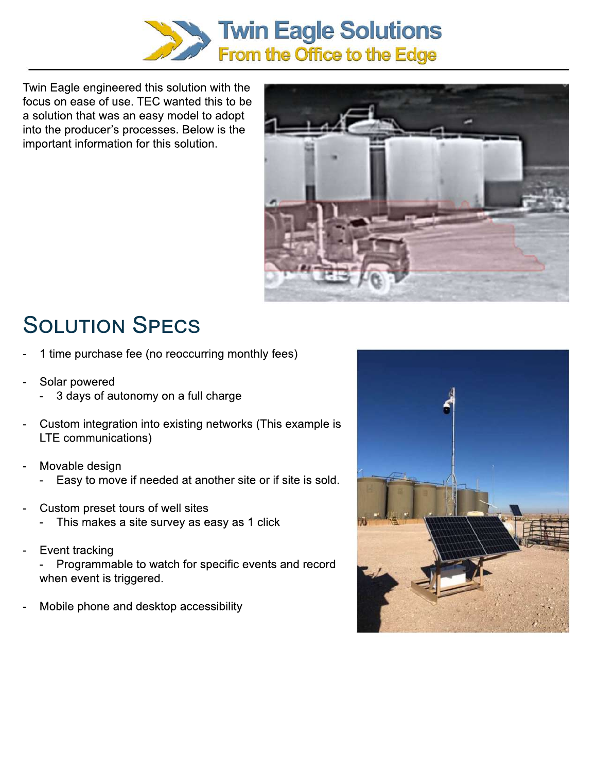

Twin Eagle engineered this solution with the focus on ease of use. TEC wanted this to be a solution that was an easy model to adopt into the producer's processes. Below is the important information for this solution.



# **SOLUTION SPECS**

- 1 time purchase fee (no reoccurring monthly fees)
- Solar powered
	- 3 days of autonomy on a full charge
- Custom integration into existing networks (This example is LTE communications)
- Movable design
	- Easy to move if needed at another site or if site is sold.
- Custom preset tours of well sites
	- This makes a site survey as easy as 1 click
- Event tracking
	- Programmable to watch for specific events and record when event is triggered.
- Mobile phone and desktop accessibility

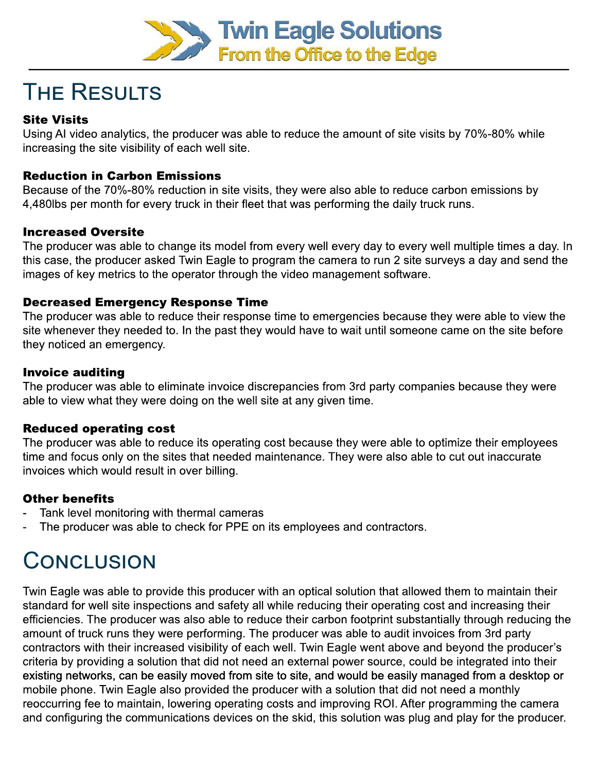

## **THE RESULTS**

#### **Site Visits**

Using AI video analytics, the producer was able to reduce the amount of site visits by 70%-80% while increasing the site visibility of each well site.

#### **Reduction in Carbon Emissions**

Because of the 70%-80% reduction in site visits, they were also able to reduce carbon emissions by 4,480lbs per month for every truck in their fleet that was performing the daily truck runs.

#### **Increased Oversite**

The producer was able to change its model from every well every day to every well multiple times a day. In this case, the producer asked Twin Eagle to program the camera to run 2 site surveys a day and send the images of key metrics to the operator through the video management software.

#### **Decreased Emergency Response Time**

The producer was able to reduce their response time to emergencies because they were able to view the site whenever they needed to. In the past they would have to wait until someone came on the site before they noticed an emergency.

#### **Invoice auditing**

The producer was able to eliminate invoice discrepancies from 3rd party companies because they were able to view what they were doing on the well site at any given time.

#### **Reduced operating cost**

The producer was able to reduce its operating cost because they were able to optimize their employees time and focus only on the sites that needed maintenance. They were also able to cut out inaccurate invoices which would result in over billing.

#### **Other benefits**

- Tank level monitoring with thermal cameras
- The producer was able to check for PPE on its employees and contractors.

### CONCLUSION

Twin Eagle was able to provide this producer with an optical solution that allowed them to maintain their standard for well site inspections and safety all while reducing their operating cost and increasing their efficiencies. The producer was also able to reduce their carbon footprint substantially through reducing the amount of truck runs they were performing. The producer was able to audit invoices from 3rd party contractors with their increased visibility of each well. Twin Eagle went above and beyond the producer's criteria by providing a solution that did not need an external power source, could be integrated into their existing networks, can be easily moved from site to site, and would be easily managed from a desktop or mobile phone. Twin Eagle also provided the producer with a solution that did not need a monthly reoccurring fee to maintain, lowering operating costs and improving ROI. After programming the camera and configuring the communications devices on the skid, this solution was plug and play for the producer.